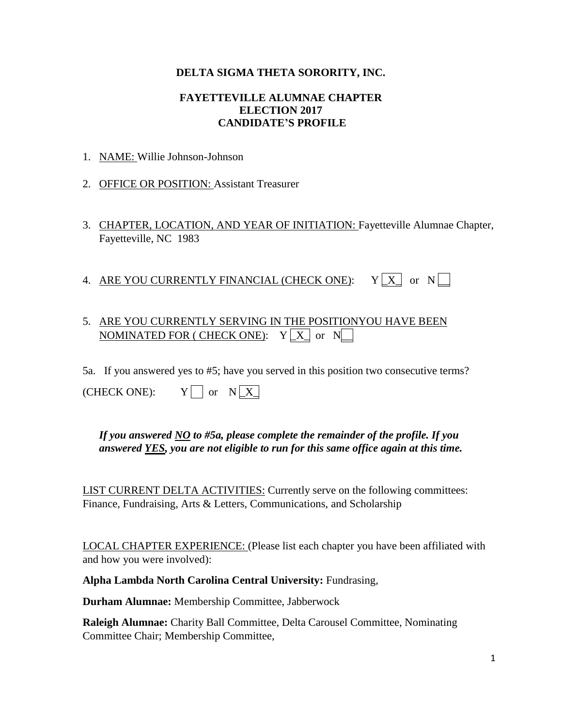### **DELTA SIGMA THETA SORORITY, INC.**

#### **FAYETTEVILLE ALUMNAE CHAPTER ELECTION 2017 CANDIDATE'S PROFILE**

- 1. NAME: Willie Johnson-Johnson
- 2. OFFICE OR POSITION: Assistant Treasurer
- 3. CHAPTER, LOCATION, AND YEAR OF INITIATION: Fayetteville Alumnae Chapter, Fayetteville, NC 1983
- 4. ARE YOU CURRENTLY FINANCIAL (CHECK ONE):  $Y[X]$  or  $N$

# 5. ARE YOU CURRENTLY SERVING IN THE POSITIONYOU HAVE BEEN  $\mathop{\rm NOMINATED}$  FOR ( CHECK ONE):  $\quad$  Y  $\lfloor$  X  $\rfloor$  or  $\,$  N $\lfloor$   $\!$

5a. If you answered yes to #5; have you served in this position two consecutive terms?

(CHECK ONE):  $Y \cap \text{or } N \times$ 

# *If you answered NO to #5a, please complete the remainder of the profile. If you answered YES, you are not eligible to run for this same office again at this time.*

LIST CURRENT DELTA ACTIVITIES: Currently serve on the following committees: Finance, Fundraising, Arts & Letters, Communications, and Scholarship

LOCAL CHAPTER EXPERIENCE: (Please list each chapter you have been affiliated with and how you were involved):

**Alpha Lambda North Carolina Central University:** Fundrasing,

**Durham Alumnae:** Membership Committee, Jabberwock

**Raleigh Alumnae:** Charity Ball Committee, Delta Carousel Committee, Nominating Committee Chair; Membership Committee,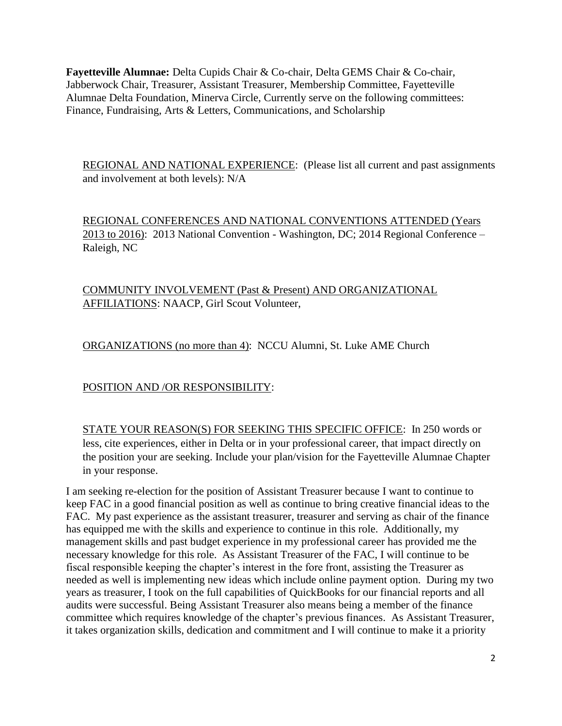**Fayetteville Alumnae:** Delta Cupids Chair & Co-chair, Delta GEMS Chair & Co-chair, Jabberwock Chair, Treasurer, Assistant Treasurer, Membership Committee, Fayetteville Alumnae Delta Foundation, Minerva Circle, Currently serve on the following committees: Finance, Fundraising, Arts & Letters, Communications, and Scholarship

REGIONAL AND NATIONAL EXPERIENCE: (Please list all current and past assignments and involvement at both levels): N/A

REGIONAL CONFERENCES AND NATIONAL CONVENTIONS ATTENDED (Years 2013 to 2016): 2013 National Convention - Washington, DC; 2014 Regional Conference – Raleigh, NC

COMMUNITY INVOLVEMENT (Past & Present) AND ORGANIZATIONAL AFFILIATIONS: NAACP, Girl Scout Volunteer,

ORGANIZATIONS (no more than 4): NCCU Alumni, St. Luke AME Church

POSITION AND /OR RESPONSIBILITY:

STATE YOUR REASON(S) FOR SEEKING THIS SPECIFIC OFFICE: In 250 words or less, cite experiences, either in Delta or in your professional career, that impact directly on the position your are seeking. Include your plan/vision for the Fayetteville Alumnae Chapter in your response.

I am seeking re-election for the position of Assistant Treasurer because I want to continue to keep FAC in a good financial position as well as continue to bring creative financial ideas to the FAC. My past experience as the assistant treasurer, treasurer and serving as chair of the finance has equipped me with the skills and experience to continue in this role. Additionally, my management skills and past budget experience in my professional career has provided me the necessary knowledge for this role. As Assistant Treasurer of the FAC, I will continue to be fiscal responsible keeping the chapter's interest in the fore front, assisting the Treasurer as needed as well is implementing new ideas which include online payment option. During my two years as treasurer, I took on the full capabilities of QuickBooks for our financial reports and all audits were successful. Being Assistant Treasurer also means being a member of the finance committee which requires knowledge of the chapter's previous finances. As Assistant Treasurer, it takes organization skills, dedication and commitment and I will continue to make it a priority